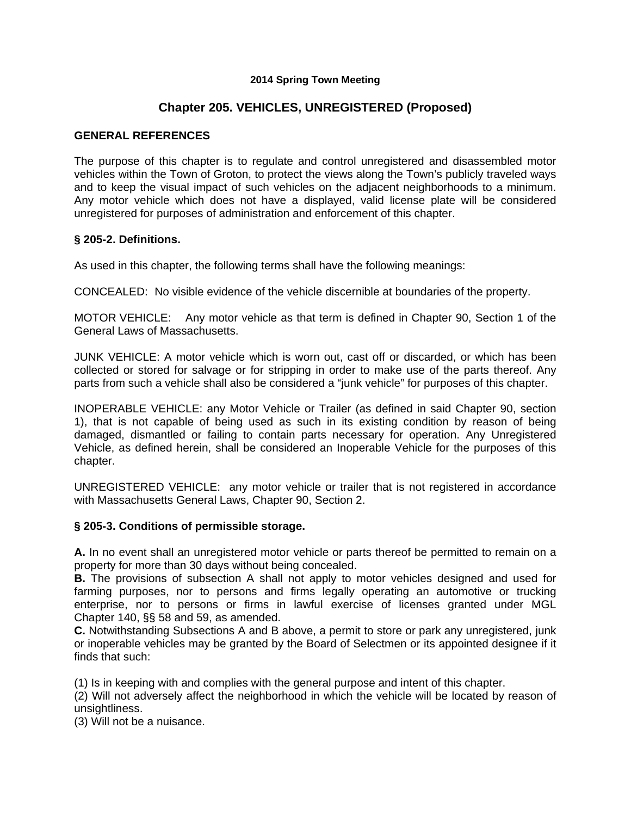### **2014 Spring Town Meeting**

# **Chapter 205. VEHICLES, UNREGISTERED (Proposed)**

### **GENERAL REFERENCES**

The purpose of this chapter is to regulate and control unregistered and disassembled motor vehicles within the Town of Groton, to protect the views along the Town's publicly traveled ways and to keep the visual impact of such vehicles on the adjacent neighborhoods to a minimum. Any motor vehicle which does not have a displayed, valid license plate will be considered unregistered for purposes of administration and enforcement of this chapter.

#### **§ 205-2. Definitions.**

As used in this chapter, the following terms shall have the following meanings:

CONCEALED: No visible evidence of the vehicle discernible at boundaries of the property.

MOTOR VEHICLE: Any motor vehicle as that term is defined in Chapter 90, Section 1 of the General Laws of Massachusetts.

JUNK VEHICLE: A motor vehicle which is worn out, cast off or discarded, or which has been collected or stored for salvage or for stripping in order to make use of the parts thereof. Any parts from such a vehicle shall also be considered a "junk vehicle" for purposes of this chapter.

INOPERABLE VEHICLE: any Motor Vehicle or Trailer (as defined in said Chapter 90, section 1), that is not capable of being used as such in its existing condition by reason of being damaged, dismantled or failing to contain parts necessary for operation. Any Unregistered Vehicle, as defined herein, shall be considered an Inoperable Vehicle for the purposes of this chapter.

UNREGISTERED VEHICLE: any motor vehicle or trailer that is not registered in accordance with Massachusetts General Laws, Chapter 90, Section 2.

#### **§ 205-3. Conditions of permissible storage.**

**A.** In no event shall an unregistered motor vehicle or parts thereof be permitted to remain on a property for more than 30 days without being concealed.

**B.** The provisions of subsection A shall not apply to motor vehicles designed and used for farming purposes, nor to persons and firms legally operating an automotive or trucking enterprise, nor to persons or firms in lawful exercise of licenses granted under MGL Chapter 140, §§ 58 and 59, as amended.

**C.** Notwithstanding Subsections A and B above, a permit to store or park any unregistered, junk or inoperable vehicles may be granted by the Board of Selectmen or its appointed designee if it finds that such:

(1) Is in keeping with and complies with the general purpose and intent of this chapter.

(2) Will not adversely affect the neighborhood in which the vehicle will be located by reason of unsightliness.

(3) Will not be a nuisance.